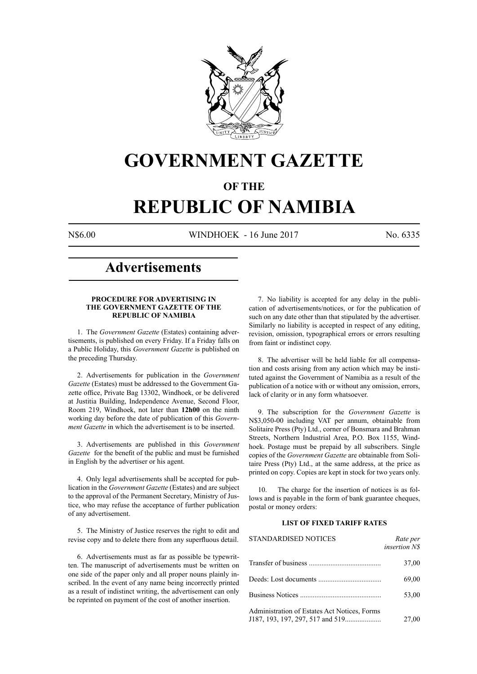

# **GOVERNMENT GAZETTE**

## **OF THE**

# **REPUBLIC OF NAMIBIA**

N\$6.00 WINDHOEK - 16 June 2017 No. 6335

# **Advertisements**

#### **PROCEDURE FOR ADVERTISING IN THE GOVERNMENT GAZETTE OF THE REPUBLIC OF NAMIBIA**

1. The *Government Gazette* (Estates) containing advertisements, is published on every Friday. If a Friday falls on a Public Holiday, this *Government Gazette* is published on the preceding Thursday.

2. Advertisements for publication in the *Government Gazette* (Estates) must be addressed to the Government Gazette office, Private Bag 13302, Windhoek, or be delivered at Justitia Building, Independence Avenue, Second Floor, Room 219, Windhoek, not later than **12h00** on the ninth working day before the date of publication of this *Government Gazette* in which the advertisement is to be inserted.

3. Advertisements are published in this *Government Gazette* for the benefit of the public and must be furnished in English by the advertiser or his agent.

4. Only legal advertisements shall be accepted for publication in the *Government Gazette* (Estates) and are subject to the approval of the Permanent Secretary, Ministry of Justice, who may refuse the acceptance of further publication of any advertisement.

5. The Ministry of Justice reserves the right to edit and revise copy and to delete there from any superfluous detail.

6. Advertisements must as far as possible be typewritten. The manuscript of advertisements must be written on one side of the paper only and all proper nouns plainly inscribed. In the event of any name being incorrectly printed as a result of indistinct writing, the advertisement can only be reprinted on payment of the cost of another insertion.

7. No liability is accepted for any delay in the publication of advertisements/notices, or for the publication of such on any date other than that stipulated by the advertiser. Similarly no liability is accepted in respect of any editing, revision, omission, typographical errors or errors resulting from faint or indistinct copy.

8. The advertiser will be held liable for all compensation and costs arising from any action which may be instituted against the Government of Namibia as a result of the publication of a notice with or without any omission, errors, lack of clarity or in any form whatsoever.

9. The subscription for the *Government Gazette* is N\$3,050-00 including VAT per annum, obtainable from Solitaire Press (Pty) Ltd., corner of Bonsmara and Brahman Streets, Northern Industrial Area, P.O. Box 1155, Windhoek. Postage must be prepaid by all subscribers. Single copies of the *Government Gazette* are obtainable from Solitaire Press (Pty) Ltd., at the same address, at the price as printed on copy. Copies are kept in stock for two years only.

10. The charge for the insertion of notices is as follows and is payable in the form of bank guarantee cheques, postal or money orders:

#### **LIST OF FIXED TARIFF RATES**

| <b>STANDARDISED NOTICES</b>                  | Rate per<br><i>insertion NS</i> |
|----------------------------------------------|---------------------------------|
|                                              | 37,00                           |
|                                              | 69,00                           |
|                                              | 53,00                           |
| Administration of Estates Act Notices, Forms | 27,00                           |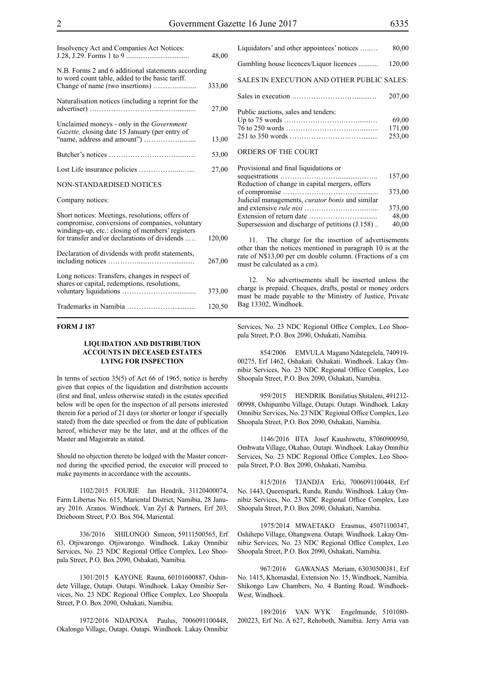| Insolvency Act and Companies Act Notices:                                                                                                                                                               | 48,00  |
|---------------------------------------------------------------------------------------------------------------------------------------------------------------------------------------------------------|--------|
| N.B. Forms 2 and 6 additional statements according<br>to word count table, added to the basic tariff.                                                                                                   | 333,00 |
| Naturalisation notices (including a reprint for the                                                                                                                                                     | 27,00  |
| Unclaimed moneys - only in the Government<br>Gazette, closing date 15 January (per entry of                                                                                                             | 13,00  |
|                                                                                                                                                                                                         | 53,00  |
|                                                                                                                                                                                                         | 27,00  |
| <b>NON-STANDARDISED NOTICES</b>                                                                                                                                                                         |        |
| Company notices:                                                                                                                                                                                        |        |
| Short notices: Meetings, resolutions, offers of<br>compromise, conversions of companies, voluntary<br>windings-up, etc.: closing of members' registers<br>for transfer and/or declarations of dividends | 120,00 |
| Declaration of dividends with profit statements,                                                                                                                                                        | 267,00 |
| Long notices: Transfers, changes in respect of<br>shares or capital, redemptions, resolutions,                                                                                                          | 373,00 |
|                                                                                                                                                                                                         | 120,50 |

#### **FORM J 187**

#### **LIQUIDATION AND DISTRIBUTION ACCOUNTS IN DECEASED ESTATES LYING FOR INSPECTION**

In terms of section 35(5) of Act 66 of 1965, notice is hereby given that copies of the liquidation and distribution accounts (first and final, unless otherwise stated) in the estates specified below will be open for the inspection of all persons interested therein for a period of 21 days (or shorter or longer if specially stated) from the date specified or from the date of publication hereof, whichever may be the later, and at the offices of the Master and Magistrate as stated.

Should no objection thereto be lodged with the Master concerned during the specified period, the executor will proceed to make payments in accordance with the accounts.

1102/2015 FOURIE Jan Hendrik, 31120400074, Farm Libertas No. 615, Mariental District, Namibia, 28 January 2016. Aranos. Windhoek. Van Zyl & Partners, Erf 203, Drieboom Street, P.O. Box 504, Mariental.

336/2016 SHILONGO Simeon, 59111500565, Erf 63, Otjiwarongo. Otjiwarongo. Windhoek. Lakay Omnibiz Services, No. 23 NDC Regional Office Complex, Leo Shoopala Street, P.O. Box 2090, Oshakati, Namibia.

1301/2015 KAYONE Rauna, 60101600887, Oshindete Village, Outapi. Outapi. Windhoek. Lakay Omnibiz Services, No. 23 NDC Regional Office Complex, Leo Shoopala Street, P.O. Box 2090, Oshakati, Namibia.

1972/2016 NDAPONA Paulus, 7006091100448, Okalongo Village, Outapi. Outapi. Windhoek. Lakay Omnibiz

| I done duetions, sales and tenders. |        |
|-------------------------------------|--------|
|                                     | 69.00  |
|                                     | 171,00 |
|                                     | 253.00 |
|                                     |        |

#### ORDERS OF THE COURT

| 157,00                                                   |  |
|----------------------------------------------------------|--|
| Reduction of change in capital mergers, offers           |  |
| 373.00                                                   |  |
| Judicial managements, <i>curator bonis</i> and similar   |  |
| 373,00                                                   |  |
| 48,00                                                    |  |
| 40,00<br>Supersession and discharge of petitions (J.158) |  |

11. The charge for the insertion of advertisements other than the notices mentioned in paragraph 10 is at the rate of N\$13,00 per cm double column. (Fractions of a cm must be calculated as a cm).

12. No advertisements shall be inserted unless the charge is prepaid. Cheques, drafts, postal or money orders must be made payable to the Ministry of Justice, Private Bag 13302, Windhoek.

Services, No. 23 NDC Regional Office Complex, Leo Shoopala Street, P.O. Box 2090, Oshakati, Namibia.

854/2006 EMVULA Magano Ndategelela, 740919- 00275, Erf 1462, Oshakati. Oshakati. Windhoek. Lakay Omnibiz Services, No. 23 NDC Regional Office Complex, Leo Shoopala Street, P.O. Box 2090, Oshakati, Namibia.

959/2015 HENDRIK Bonifatius Shitaleni, 491212- 00998, Oshipumbu Village, Outapi. Outapi. Windhoek. Lakay Omnibiz Services, No. 23 NDC Regional Office Complex, Leo Shoopala Street, P.O. Box 2090, Oshakati, Namibia.

1146/2016 IITA Josef Kaushiwetu, 87060900950, Ombwata Village, Okahao. Outapi. Windhoek. Lakay Omnibiz Services, No. 23 NDC Regional Office Complex, Leo Shoopala Street, P.O. Box 2090, Oshakati, Namibia.

815/2016 TJANDJA Erki, 7006091100448, Erf No. 1443, Queenspark, Rundu. Rundu. Windhoek. Lakay Omnibiz Services, No. 23 NDC Regional Office Complex, Leo Shoopala Street, P.O. Box 2090, Oshakati, Namibia.

1975/2014 MWAETAKO Erasmus, 45071100347, Oshihepo Village, Ohangwena. Outapi. Windhoek. Lakay Omnibiz Services, No. 23 NDC Regional Office Complex, Leo Shoopala Street, P.O. Box 2090, Oshakati, Namibia.

967/2016 GAWANAS Meriam, 63030500381, Erf No. 1415, Khomasdal, Extension No. 15, Windhoek, Namibia. Shikongo Law Chambers, No. 4 Banting Road, Windhoek-West, Windhoek.

189/2016 VAN WYK Engelmunde, 5101080- 200223, Erf No. A 627, Rehoboth, Namibia. Jerry Arria van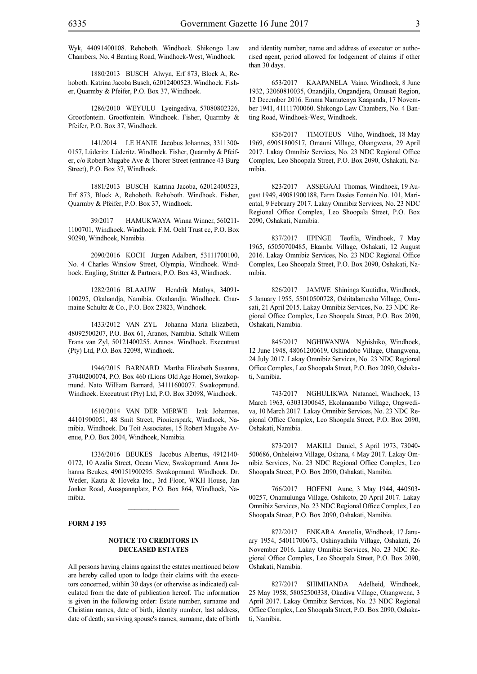Wyk, 44091400108. Rehoboth. Windhoek. Shikongo Law Chambers, No. 4 Banting Road, Windhoek-West, Windhoek.

1880/2013 BUSCH Alwyn, Erf 873, Block A, Rehoboth. Katrina Jacoba Busch, 62012400523. Windhoek. Fisher, Quarmby & Pfeifer, P.O. Box 37, Windhoek.

1286/2010 WEYULU Lyeingediva, 57080802326, Grootfontein. Grootfontein. Windhoek. Fisher, Quarmby & Pfeifer, P.O. Box 37, Windhoek.

141/2014 LE HANIE Jacobus Johannes, 3311300- 0157, Lüderitz. Lüderitz. Windhoek. Fisher, Quarmby & Pfeifer, c/o Robert Mugabe Ave & Thorer Street (entrance 43 Burg Street), P.O. Box 37, Windhoek.

1881/2013 BUSCH Katrina Jacoba, 62012400523, Erf 873, Block A, Rehoboth. Rehoboth. Windhoek. Fisher, Quarmby & Pfeifer, P.O. Box 37, Windhoek.

39/2017 HAMUKWAYA Winna Winner, 560211- 1100701, Windhoek. Windhoek. F.M. Oehl Trust cc, P.O. Box 90290, Windhoek, Namibia.

2090/2016 KOCH Jürgen Adalbert, 53111700100, No. 4 Charles Winslow Street, Olympia, Windhoek. Windhoek. Engling, Stritter & Partners, P.O. Box 43, Windhoek.

1282/2016 BLAAUW Hendrik Mathys, 34091- 100295, Okahandja, Namibia. Okahandja. Windhoek. Charmaine Schultz & Co., P.O. Box 23823, Windhoek.

1433/2012 VAN ZYL Johanna Maria Elizabeth, 48092500207, P.O. Box 61, Aranos, Namibia. Schalk Willem Frans van Zyl, 50121400255. Aranos. Windhoek. Executrust (Pty) Ltd, P.O. Box 32098, Windhoek.

1946/2015 BARNARD Martha Elizabeth Susanna, 37040200074, P.O. Box 460 (Lions Old Age Home), Swakopmund. Nato William Barnard, 34111600077. Swakopmund. Windhoek. Executrust (Pty) Ltd, P.O. Box 32098, Windhoek.

1610/2014 VAN DER MERWE Izak Johannes, 44101900051, 48 Smit Street, Pionierspark, Windhoek, Namibia. Windhoek. Du Toit Associates, 15 Robert Mugabe Avenue, P.O. Box 2004, Windhoek, Namibia.

1336/2016 BEUKES Jacobus Albertus, 4912140- 0172, 10 Azalia Street, Ocean View, Swakopmund. Anna Johanna Beukes, 490151900295. Swakopmund. Windhoek. Dr. Weder, Kauta & Hoveka Inc., 3rd Floor, WKH House, Jan Jonker Road, Ausspannplatz, P.O. Box 864, Windhoek, Namibia.

 $\frac{1}{2}$ 

#### **FORM J 193**

#### **NOTICE TO CREDITORS IN DECEASED ESTATES**

All persons having claims against the estates mentioned below are hereby called upon to lodge their claims with the executors concerned, within 30 days (or otherwise as indicated) calculated from the date of publication hereof. The information is given in the following order: Estate number, surname and Christian names, date of birth, identity number, last address, date of death; surviving spouse's names, surname, date of birth and identity number; name and address of executor or authorised agent, period allowed for lodgement of claims if other than 30 days.

653/2017 KAAPANELA Vaino, Windhoek, 8 June 1932, 32060810035, Onandjila, Ongandjera, Omusati Region, 12 December 2016. Emma Namutenya Kaapanda, 17 November 1941, 41111700060. Shikongo Law Chambers, No. 4 Banting Road, Windhoek-West, Windhoek.

836/2017 TIMOTEUS Vilho, Windhoek, 18 May 1969, 69051800517, Omauni Village, Ohangwena, 29 April 2017. Lakay Omnibiz Services, No. 23 NDC Regional Office Complex, Leo Shoopala Street, P.O. Box 2090, Oshakati, Namibia.

823/2017 ASSEGAAI Thomas, Windhoek, 19 August 1949, 49081900188, Farm Dasies Fontein No. 101, Mariental, 9 February 2017. Lakay Omnibiz Services, No. 23 NDC Regional Office Complex, Leo Shoopala Street, P.O. Box 2090, Oshakati, Namibia.

837/2017 IIPINGE Teofila, Windhoek, 7 May 1965, 65050700485, Ekamba Village, Oshakati, 12 August 2016. Lakay Omnibiz Services, No. 23 NDC Regional Office Complex, Leo Shoopala Street, P.O. Box 2090, Oshakati, Namibia.

826/2017 JAMWE Shininga Kuutidha, Windhoek, 5 January 1955, 55010500728, Oshitalamesho Village, Omusati, 21 April 2015. Lakay Omnibiz Services, No. 23 NDC Regional Office Complex, Leo Shoopala Street, P.O. Box 2090, Oshakati, Namibia.

845/2017 NGHIWANWA Nghishiko, Windhoek, 12 June 1948, 48061200619, Oshindobe Village, Ohangwena, 24 July 2017. Lakay Omnibiz Services, No. 23 NDC Regional Office Complex, Leo Shoopala Street, P.O. Box 2090, Oshakati, Namibia.

743/2017 NGHULIKWA Natanael, Windhoek, 13 March 1963, 63031300645, Ekolanaambo Village, Ongwediva, 10 March 2017. Lakay Omnibiz Services, No. 23 NDC Regional Office Complex, Leo Shoopala Street, P.O. Box 2090, Oshakati, Namibia.

873/2017 MAKILI Daniel, 5 April 1973, 73040- 500686, Onheleiwa Village, Oshana, 4 May 2017. Lakay Omnibiz Services, No. 23 NDC Regional Office Complex, Leo Shoopala Street, P.O. Box 2090, Oshakati, Namibia.

766/2017 HOFENI Aune, 3 May 1944, 440503- 00257, Onamulunga Village, Oshikoto, 20 April 2017. Lakay Omnibiz Services, No. 23 NDC Regional Office Complex, Leo Shoopala Street, P.O. Box 2090, Oshakati, Namibia.

872/2017 ENKARA Anatolia, Windhoek, 17 January 1954, 54011700673, Oshinyadhila Village, Oshakati, 26 November 2016. Lakay Omnibiz Services, No. 23 NDC Regional Office Complex, Leo Shoopala Street, P.O. Box 2090, Oshakati, Namibia.

827/2017 SHIMHANDA Adelheid, Windhoek, 25 May 1958, 58052500338, Okadiva Village, Ohangwena, 3 April 2017. Lakay Omnibiz Services, No. 23 NDC Regional Office Complex, Leo Shoopala Street, P.O. Box 2090, Oshakati, Namibia.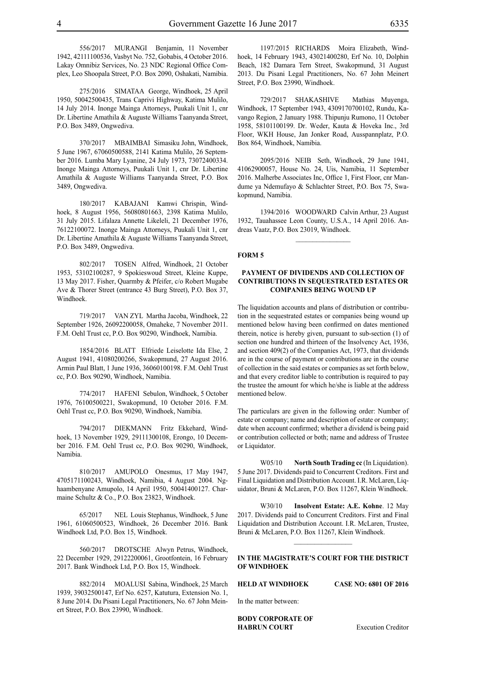556/2017 MURANGI Benjamin, 11 November 1942, 42111100536, Vasbyt No. 752, Gobabis, 4 October 2016. Lakay Omnibiz Services, No. 23 NDC Regional Office Complex, Leo Shoopala Street, P.O. Box 2090, Oshakati, Namibia.

275/2016 SIMATAA George, Windhoek, 25 April 1950, 50042500435, Trans Caprivi Highway, Katima Mulilo, 14 July 2014. Inonge Mainga Attorneys, Puukali Unit 1, cnr Dr. Libertine Amathila & Auguste Williams Taanyanda Street, P.O. Box 3489, Ongwediva.

370/2017 MBAIMBAI Simasiku John, Windhoek, 5 June 1967, 67060500588, 2141 Katima Mulilo, 26 September 2016. Lumba Mary Lyanine, 24 July 1973, 73072400334. Inonge Mainga Attorneys, Puukali Unit 1, cnr Dr. Libertine Amathila & Auguste Williams Taanyanda Street, P.O. Box 3489, Ongwediva.

180/2017 KABAJANI Kamwi Chrispin, Windhoek, 8 August 1956, 56080801663, 2398 Katima Mulilo, 31 July 2015. Lifalaza Annette Likeleli, 21 December 1976, 76122100072. Inonge Mainga Attorneys, Puukali Unit 1, cnr Dr. Libertine Amathila & Auguste Williams Taanyanda Street, P.O. Box 3489, Ongwediva.

802/2017 TOSEN Alfred, Windhoek, 21 October 1953, 53102100287, 9 Spokieswoud Street, Kleine Kuppe, 13 May 2017. Fisher, Quarmby & Pfeifer, c/o Robert Mugabe Ave & Thorer Street (entrance 43 Burg Street), P.O. Box 37, Windhoek.

719/2017 VAN ZYL Martha Jacoba, Windhoek, 22 September 1926, 26092200058, Omaheke, 7 November 2011. F.M. Oehl Trust cc, P.O. Box 90290, Windhoek, Namibia.

1854/2016 BLATT Elfriede Leiselotte Ida Else, 2 August 1941, 41080200266, Swakopmund, 27 August 2016. Armin Paul Blatt, 1 June 1936, 36060100198. F.M. Oehl Trust cc, P.O. Box 90290, Windhoek, Namibia.

774/2017 HAFENI Sebulon, Windhoek, 5 October 1976, 76100500221, Swakopmund, 10 October 2016. F.M. Oehl Trust cc, P.O. Box 90290, Windhoek, Namibia.

794/2017 DIEKMANN Fritz Ekkehard, Windhoek, 13 November 1929, 29111300108, Erongo, 10 December 2016. F.M. Oehl Trust cc, P.O. Box 90290, Windhoek, Namibia.

810/2017 AMUPOLO Onesmus, 17 May 1947, 4705171100243, Windhoek, Namibia, 4 August 2004. Nghaambenyane Amupolo, 14 April 1950, 50041400127. Charmaine Schultz & Co., P.O. Box 23823, Windhoek.

65/2017 NEL Louis Stephanus, Windhoek, 5 June 1961, 61060500523, Windhoek, 26 December 2016. Bank Windhoek Ltd, P.O. Box 15, Windhoek.

560/2017 DROTSCHE Alwyn Petrus, Windhoek, 22 December 1929, 29122200061, Grootfontein, 16 February 2017. Bank Windhoek Ltd, P.O. Box 15, Windhoek.

882/2014 MOALUSI Sabina, Windhoek, 25 March 1939, 39032500147, Erf No. 6257, Katutura, Extension No. 1, 8 June 2014. Du Pisani Legal Practitioners, No. 67 John Meinert Street, P.O. Box 23990, Windhoek.

1197/2015 RICHARDS Moira Elizabeth, Windhoek, 14 February 1943, 43021400280, Erf No. 10, Dolphin Beach, 182 Damara Tern Street, Swakopmund, 31 August 2013. Du Pisani Legal Practitioners, No. 67 John Meinert Street, P.O. Box 23990, Windhoek.

729/2017 SHAKASHIVE Mathias Muyenga, Windhoek, 17 September 1943, 4309170700102, Rundu, Kavango Region, 2 January 1988. Thipunju Rumono, 11 October 1958, 58101100199. Dr. Weder, Kauta & Hoveka Inc., 3rd Floor, WKH House, Jan Jonker Road, Ausspannplatz, P.O. Box 864, Windhoek, Namibia.

2095/2016 NEIB Seth, Windhoek, 29 June 1941, 41062900057, House No. 24, Uis, Namibia, 11 September 2016. Malherbe Associates Inc, Office 1, First Floor, cnr Mandume ya Ndemufayo & Schlachter Street, P.O. Box 75, Swakopmund, Namibia.

1394/2016 WOODWARD Calvin Arthur, 23 August 1932, Tauahassee Leon County, U.S.A., 14 April 2016. Andreas Vaatz, P.O. Box 23019, Windhoek.

 $\frac{1}{2}$ 

#### **FORM 5**

#### **PAYMENT OF DIVIDENDS AND COLLECTION OF CONTRIBUTIONS IN SEQUESTRATED ESTATES OR COMPANIES BEING WOUND UP**

The liquidation accounts and plans of distribution or contribution in the sequestrated estates or companies being wound up mentioned below having been confirmed on dates mentioned therein, notice is hereby given, pursuant to sub-section (1) of section one hundred and thirteen of the Insolvency Act, 1936, and section 409(2) of the Companies Act, 1973, that dividends are in the course of payment or contributions are in the course of collection in the said estates or companies as set forth below, and that every creditor liable to contribution is required to pay the trustee the amount for which he/she is liable at the address mentioned below.

The particulars are given in the following order: Number of estate or company; name and description of estate or company; date when account confirmed; whether a dividend is being paid or contribution collected or both; name and address of Trustee or Liquidator.

W05/10 **North South Trading cc** (In Liquidation). 5 June 2017. Dividends paid to Concurrent Creditors. First and Final Liquidation and Distribution Account. I.R. McLaren, Liquidator, Bruni & McLaren, P.O. Box 11267, Klein Windhoek.

W30/10 **Insolvent Estate: A.E. Kohne**. 12 May 2017. Dividends paid to Concurrent Creditors. First and Final Liquidation and Distribution Account. I.R. McLaren, Trustee, Bruni & McLaren, P.O. Box 11267, Klein Windhoek.

 $\frac{1}{2}$ 

#### **IN THE MAGISTRATE'S COURT FOR THE DISTRICT OF WINDHOEK**

In the matter between:

**BODY CORPORATE OF HABRUN COURT** Execution Creditor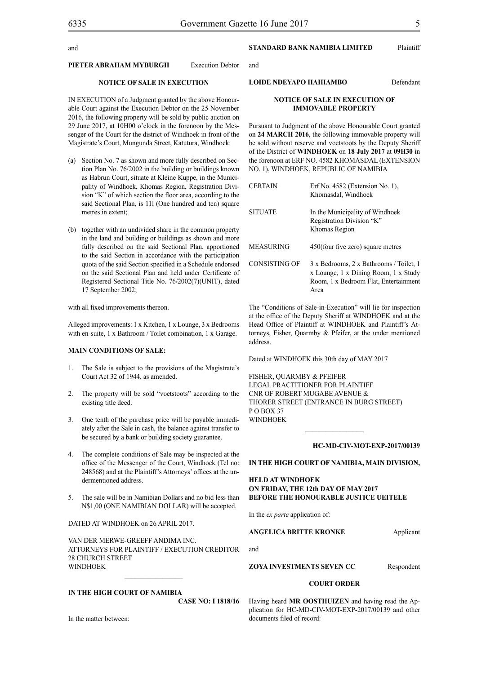and

### and

#### **PIETER ABRAHAM MYBURGH Execution Debtor**

#### **NOTICE OF SALE IN EXECUTION**

IN EXECUTION of a Judgment granted by the above Honourable Court against the Execution Debtor on the 25 November 2016, the following property will be sold by public auction on 29 June 2017, at 10H00 o'clock in the forenoon by the Messenger of the Court for the district of Windhoek in front of the Magistrate's Court, Mungunda Street, Katutura, Windhoek:

- (a) Section No. 7 as shown and more fully described on Section Plan No. 76/2002 in the building or buildings known as Habrun Court, situate at Kleine Kuppe, in the Municipality of Windhoek, Khomas Region, Registration Division "K" of which section the floor area, according to the said Sectional Plan, is 11l (One hundred and ten) square metres in extent;
- (b) together with an undivided share in the common property in the land and building or buildings as shown and more fully described on the said Sectional Plan, apportioned to the said Section in accordance with the participation quota of the said Section specified in a Schedule endorsed on the said Sectional Plan and held under Certificate of Registered Sectional Title No. 76/2002(7)(UNIT), dated 17 September 2002;

with all fixed improvements thereon.

Alleged improvements: 1 x Kitchen, 1 x Lounge, 3 x Bedrooms with en-suite, 1 x Bathroom / Toilet combination, 1 x Garage.

#### **MAIN CONDITIONS OF SALE:**

- 1. The Sale is subject to the provisions of the Magistrate's Court Act 32 of 1944, as amended.
- 2. The property will be sold "voetstoots" according to the existing title deed.
- 3. One tenth of the purchase price will be payable immediately after the Sale in cash, the balance against transfer to be secured by a bank or building society guarantee.
- 4. The complete conditions of Sale may be inspected at the office of the Messenger of the Court, Windhoek (Tel no: 248568) and at the Plaintiff's Attorneys' offices at the undermentioned address.
- 5. The sale will be in Namibian Dollars and no bid less than N\$1,00 (ONE NAMIBIAN DOLLAR) will be accepted.

DATED AT WINDHOEK on 26 APRIL 2017.

VAN DER MERWE-GREEFF ANDIMA INC. ATTORNEYS FOR PLAINTIFF / EXECUTION CREDITOR 28 CHURCH STREET **WINDHOEK** 

**IN THE HIGH COURT OF NAMIBIA**

**CASE NO: I 1818/16**

### **STANDARD BANK NAMIBIA LIMITED** Plaintiff

**LOIDE NDEYAPO HAIHAMBO** Defendant

#### **NOTICE OF SALE IN EXECUTION OF IMMOVABLE PROPERTY**

Pursuant to Judgment of the above Honourable Court granted on **24 MARCH 2016**, the following immovable property will be sold without reserve and voetstoots by the Deputy Sheriff of the District of **WINDHOEK** on **18 July 2017** at **09H30** in the forenoon at ERF NO. 4582 KHOMASDAL (EXTENSION NO. 1), WINDHOEK, REPUBLIC OF NAMIBIA

| CERTAIN        | Erf No. 4582 (Extension No. 1),<br>Khomasdal, Windhoek                                                                           |
|----------------|----------------------------------------------------------------------------------------------------------------------------------|
| <b>SITUATE</b> | In the Municipality of Windhoek<br>Registration Division "K"<br>Khomas Region                                                    |
| MEASURING      | 450(four five zero) square metres                                                                                                |
| CONSISTING OF  | 3 x Bedrooms, 2 x Bathrooms / Toilet, 1<br>x Lounge, 1 x Dining Room, 1 x Study<br>Room, 1 x Bedroom Flat, Entertainment<br>Area |

The "Conditions of Sale-in-Execution" will lie for inspection at the office of the Deputy Sheriff at WINDHOEK and at the Head Office of Plaintiff at WINDHOEK and Plaintiff's Attorneys, Fisher, Quarmby & Pfeifer, at the under mentioned address.

Dated at WINDHOEK this 30th day of MAY 2017

FISHER, QUARMBY & PFEIFER LEGAL PRACTITIONER FOR PLAINTIFF Cnr of Robert Mugabe Avenue & Thorer Street (entrance in Burg Street) P O BOX 37 WINDHOEK

#### **HC-MD-CIV-MOT-EXP-2017/00139**

#### **IN THE HIGH COURT OF NAMIBIA, MAIN DIVISION,**

#### **HELD AT WINDHOEK ON FRIDAY, THE 12th DAY OF MAY 2017 BEFORE THE HONOURABLE JUSTICE UEITELE**

In the *ex parte* application of:

and

#### **ANGELICA BRITTE KRONKE** Applicant

**ZOYA INVESTMENTS SEVEN CC** Respondent

#### **COURT ORDER**

Having heard **MR OOSTHUIZEN** and having read the Application for HC-MD-CIV-MOT-EXP-2017/00139 and other documents filed of record: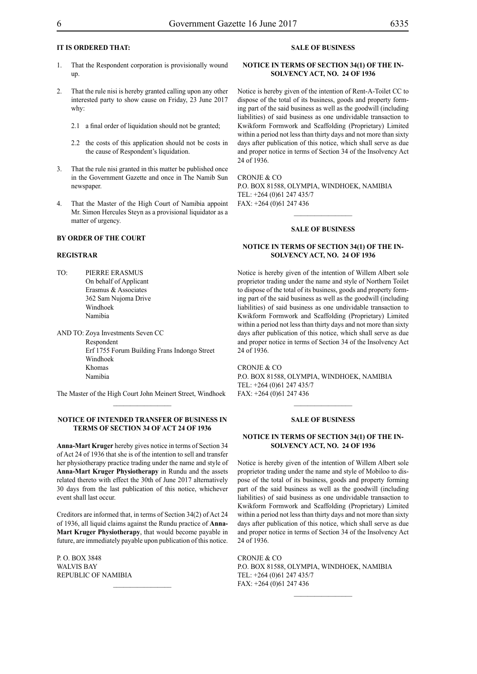### **IT IS ORDERED THAT:**

- 1. That the Respondent corporation is provisionally wound up.
- 2. That the rule nisi is hereby granted calling upon any other interested party to show cause on Friday, 23 June 2017 why:
	- 2.1 a final order of liquidation should not be granted;
	- 2.2 the costs of this application should not be costs in the cause of Respondent's liquidation.
- 3. That the rule nisi granted in this matter be published once in the Government Gazette and once in The Namib Sun newspaper.
- 4. That the Master of the High Court of Namibia appoint Mr. Simon Hercules Steyn as a provisional liquidator as a matter of urgency.

#### **BY ORDER OF THE COURT**

#### **REGISTRAR**

TO: PIERRE ERASMUS On behalf of Applicant Erasmus & Associates 362 Sam Nujoma Drive Windhoek Namibia

AND TO: Zoya Investments Seven CC Respondent Erf 1755 Forum Building Frans Indongo Street Windhoek Khomas Namibia

The Master of the High Court John Meinert Street, Windhoek  $\frac{1}{2}$ 

#### **NOTICE OF INTENDED TRANSFER OF BUSINESS IN TERMS OF SECTION 34 OF ACT 24 OF 1936**

**Anna-Mart Kruger** hereby gives notice in terms of Section 34 of Act 24 of 1936 that she is of the intention to sell and transfer her physiotherapy practice trading under the name and style of **Anna-Mart Kruger Physiotherapy** in Rundu and the assets related thereto with effect the 30th of June 2017 alternatively 30 days from the last publication of this notice, whichever event shall last occur.

Creditors are informed that, in terms of Section 34(2) of Act 24 of 1936, all liquid claims against the Rundu practice of **Anna-Mart Kruger Physiotherapy**, that would become payable in future, are immediately payable upon publication of this notice.

 $\frac{1}{2}$ 

P. O. Box 3848 WALVIS BAY Republic of Namibia

#### **SALE OF BUSINESS**

#### **NOTICE IN TERMS OF SECTION 34(1) OF THE IN-SOLVENCY ACT, NO. 24 OF 1936**

Notice is hereby given of the intention of Rent-A-Toilet CC to dispose of the total of its business, goods and property forming part of the said business as well as the goodwill (including liabilities) of said business as one undividable transaction to Kwikform Formwork and Scaffolding (Proprietary) Limited within a period not less than thirty days and not more than sixty days after publication of this notice, which shall serve as due and proper notice in terms of Section 34 of the Insolvency Act 24 of 1936.

Cronje & CO P.O. Box 81588, Olympia, Windhoek, Namibia Tel: +264 (0)61 247 435/7 Fax: +264 (0)61 247 436

#### **SALE OF BUSINESS**

 $\frac{1}{2}$ 

#### **NOTICE IN TERMS OF SECTION 34(1) OF THE IN-SOLVENCY ACT, NO. 24 OF 1936**

Notice is hereby given of the intention of Willem Albert sole proprietor trading under the name and style of Northern Toilet to dispose of the total of its business, goods and property forming part of the said business as well as the goodwill (including liabilities) of said business as one undividable transaction to Kwikform Formwork and Scaffolding (Proprietary) Limited within a period not less than thirty days and not more than sixty days after publication of this notice, which shall serve as due and proper notice in terms of Section 34 of the Insolvency Act 24 of 1936.

Cronje & CO P.O. Box 81588, Olympia, Windhoek, Namibia Tel: +264 (0)61 247 435/7 Fax: +264 (0)61 247 436

#### **SALE OF BUSINESS**

 $\frac{1}{2}$ 

#### **NOTICE IN TERMS OF SECTION 34(1) OF THE IN-SOLVENCY ACT, NO. 24 OF 1936**

Notice is hereby given of the intention of Willem Albert sole proprietor trading under the name and style of Mobiloo to dispose of the total of its business, goods and property forming part of the said business as well as the goodwill (including liabilities) of said business as one undividable transaction to Kwikform Formwork and Scaffolding (Proprietary) Limited within a period not less than thirty days and not more than sixty days after publication of this notice, which shall serve as due and proper notice in terms of Section 34 of the Insolvency Act 24 of 1936.

CRONJE & CO P.O. Box 81588, Olympia, Windhoek, Namibia Tel: +264 (0)61 247 435/7 Fax: +264 (0)61 247 436

 $\frac{1}{2}$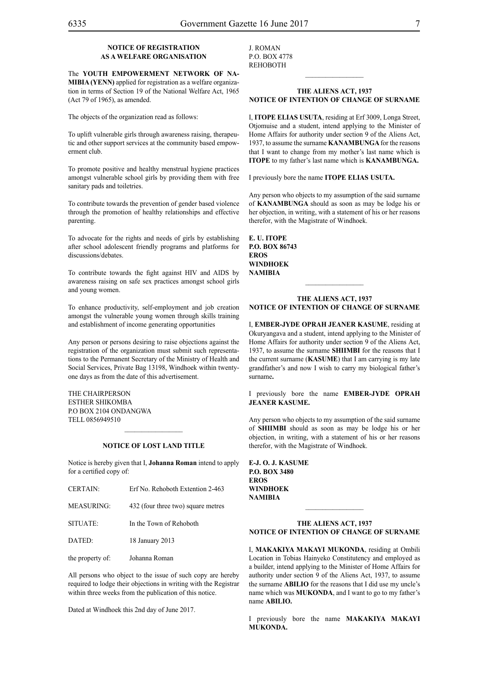#### **NOTICE OF REGISTRATION AS A WELFARE ORGANISATION**

The **Youth Empowerment Network of Na-MIBIA (YENN)** applied for registration as a welfare organization in terms of Section 19 of the National Welfare Act, 1965 (Act 79 of 1965), as amended.

The objects of the organization read as follows:

To uplift vulnerable girls through awareness raising, therapeutic and other support services at the community based empowerment club.

To promote positive and healthy menstrual hygiene practices amongst vulnerable school girls by providing them with free sanitary pads and toiletries.

To contribute towards the prevention of gender based violence through the promotion of healthy relationships and effective parenting.

To advocate for the rights and needs of girls by establishing after school adolescent friendly programs and platforms for discussions/debates.

To contribute towards the fight against HIV and AIDS by awareness raising on safe sex practices amongst school girls and young women.

To enhance productivity, self-employment and job creation amongst the vulnerable young women through skills training and establishment of income generating opportunities

Any person or persons desiring to raise objections against the registration of the organization must submit such representations to the Permanent Secretary of the Ministry of Health and Social Services, Private Bag 13198, Windhoek within twentyone days as from the date of this advertisement.

The Chairperson Esther Shikomba P.O Box 2104 Ondangwa Tell 0856949510

#### **NOTICE OF LOST LAND TITLE**

Notice is hereby given that I, **Johanna Roman** intend to apply for a certified copy of:

| <b>CERTAIN:</b>   | Erf No. Rehoboth Extention 2-463   |
|-------------------|------------------------------------|
| <b>MEASURING:</b> | 432 (four three two) square metres |
| SITUATE:          | In the Town of Rehoboth            |
| DATED:            | 18 January 2013                    |
| the property of:  | Johanna Roman                      |

All persons who object to the issue of such copy are hereby required to lodge their objections in writing with the Registrar within three weeks from the publication of this notice.

Dated at Windhoek this 2nd day of June 2017.

J. Roman p.o. box 4778 **REHOBOTH** 

#### **THE ALIENS ACT, 1937 NOTICE OF INTENTION OF CHANGE OF SURNAME**

 $\frac{1}{2}$ 

I, **itope elias usuta**, residing at Erf 3009, Longa Street, Otjomuise and a student, intend applying to the Minister of Home Affairs for authority under section 9 of the Aliens Act, 1937, to assume the surname **KANAMBUNGA** for the reasons that I want to change from my mother's last name which is **ITOPE** to my father's last name which is **KANAMBUNGA.**

I previously bore the name **itope elias usuta.**

Any person who objects to my assumption of the said surname of **kanambunga** should as soon as may be lodge his or her objection, in writing, with a statement of his or her reasons therefor, with the Magistrate of Windhoek.

**E. II. ITOPE P.O. BOX 86743 EROS WINDHOEK NAMIBIA**

#### **THE ALIENS ACT, 1937 NOTICE OF INTENTION OF CHANGE OF SURNAME**

 $\frac{1}{2}$ 

I, **ember-jyde oprah jeaner kasume**, residing at Okuryangava and a student, intend applying to the Minister of Home Affairs for authority under section 9 of the Aliens Act, 1937, to assume the surname **shiimbi** for the reasons that I the current surname (**KASUME**) that I am carrying is my late grandfather's and now I wish to carry my biological father's surname**.**

I previously bore the name **ember-jyde oprah jeaner kasume.**

Any person who objects to my assumption of the said surname of **shiimbi** should as soon as may be lodge his or her objection, in writing, with a statement of his or her reasons therefor, with the Magistrate of Windhoek.

**e-j. o. j. kasume P.O. BOX 3480 EROS WINDHOEK NAMIBIA**

#### **THE ALIENS ACT, 1937 NOTICE OF INTENTION OF CHANGE OF SURNAME**

 $\frac{1}{2}$ 

I, **MAKAKIYA MAKAYI MUKONDA**, residing at Ombili Location in Tobias Hainyeko Constitutency and employed as a builder, intend applying to the Minister of Home Affairs for authority under section 9 of the Aliens Act, 1937, to assume the surname **abilio** for the reasons that I did use my uncle's name which was **MUKONDA**, and I want to go to my father's name **ABILIO.**

I previously bore the name **MAKAKIYA MAKAYI MUKONDA.**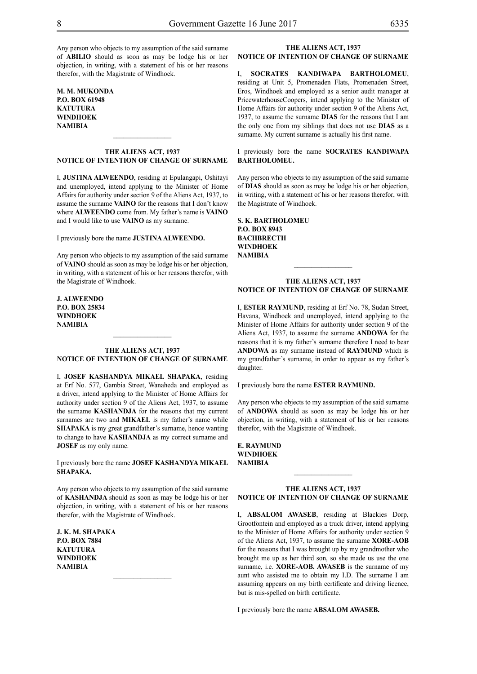Any person who objects to my assumption of the said surname of **ABILIO** should as soon as may be lodge his or her objection, in writing, with a statement of his or her reasons therefor, with the Magistrate of Windhoek.

**M. M. MUKONDA P.O. BOX 61948 katutura WINDHOEK NAMIBIA**

#### **THE ALIENS ACT, 1937 NOTICE OF INTENTION OF CHANGE OF SURNAME**

 $\frac{1}{2}$ 

I, **justina alweendo**, residing at Epulangapi, Oshitayi and unemployed, intend applying to the Minister of Home Affairs for authority under section 9 of the Aliens Act, 1937, to assume the surname **VAINO** for the reasons that I don't know where **ALWEENDO** come from. My father's name is **VAINO** and I would like to use **VAINO** as my surname.

I previously bore the name **justina alweendo.**

Any person who objects to my assumption of the said surname of **VAINO** should as soon as may be lodge his or her objection, in writing, with a statement of his or her reasons therefor, with the Magistrate of Windhoek.

**j. alweendo P.O. BOX 25834 WINDHOEK NAMIBIA**

#### **THE ALIENS ACT, 1937 NOTICE OF INTENTION OF CHANGE OF SURNAME**

 $\frac{1}{2}$ 

I, **josef kashandya mikael shapaka**, residing at Erf No. 577, Gambia Street, Wanaheda and employed as a driver, intend applying to the Minister of Home Affairs for authority under section 9 of the Aliens Act, 1937, to assume the surname **KASHANDJA** for the reasons that my current surnames are two and **MIKAEL** is my father's name while **SHAPAKA** is my great grandfather's surname, hence wanting to change to have **KASHANDJA** as my correct surname and **JOSEF** as my only name.

I previously bore the name **josef kashandya mikael shapaka.**

Any person who objects to my assumption of the said surname of **kashandja** should as soon as may be lodge his or her objection, in writing, with a statement of his or her reasons therefor, with the Magistrate of Windhoek.

**j. k. m. shapaka P.O. BOX 7884 katutura WINDHOEK NAMIBIA**

# **THE ALIENS ACT, 1937**

**NOTICE OF INTENTION OF CHANGE OF SURNAME**

I, **socrates kanDiwapa bartholomeu**, residing at Unit 5, Promenaden Flats, Promenaden Street, Eros, Windhoek and employed as a senior audit manager at PricewaterhouseCoopers, intend applying to the Minister of Home Affairs for authority under section 9 of the Aliens Act, 1937, to assume the surname **DIAS** for the reasons that I am the only one from my siblings that does not use **DIAS** as a surname. My current surname is actually his first name.

#### I previously bore the name **socrates kanDiwapa bartholomeu.**

Any person who objects to my assumption of the said surname of **dias** should as soon as may be lodge his or her objection, in writing, with a statement of his or her reasons therefor, with the Magistrate of Windhoek.

**s. k. bartholomeu P.O. BOX 8943 BACHBRECTH WINDHOEK NAMIBIA**

#### **THE ALIENS ACT, 1937 NOTICE OF INTENTION OF CHANGE OF SURNAME**

 $\frac{1}{2}$ 

I, ESTER RAYMUND, residing at Erf No. 78, Sudan Street, Havana, Windhoek and unemployed, intend applying to the Minister of Home Affairs for authority under section 9 of the Aliens Act, 1937, to assume the surname **ANDOWA** for the reasons that it is my father's surname therefore I need to bear **ANDOWA** as my surname instead of **RAYMUND** which is my grandfather's surname, in order to appear as my father's daughter.

I previously bore the name **ESTER RAYMUND.** 

Any person who objects to my assumption of the said surname of **ANDOWA** should as soon as may be lodge his or her objection, in writing, with a statement of his or her reasons therefor, with the Magistrate of Windhoek.

**e. raymund WINDHOEK NAMIBIA**

#### **THE ALIENS ACT, 1937 NOTICE OF INTENTION OF CHANGE OF SURNAME**

I, **absalom awaseb**, residing at Blackies Dorp, Grootfontein and employed as a truck driver, intend applying to the Minister of Home Affairs for authority under section 9 of the Aliens Act, 1937, to assume the surname **Xore-aob** for the reasons that I was brought up by my grandmother who brought me up as her third son, so she made us use the one surname, i.e. **XORE-AOB. AWASEB** is the surname of my aunt who assisted me to obtain my I.D. The surname I am assuming appears on my birth certificate and driving licence, but is mis-spelled on birth certificate.

I previously bore the name **absalom awaseb.**